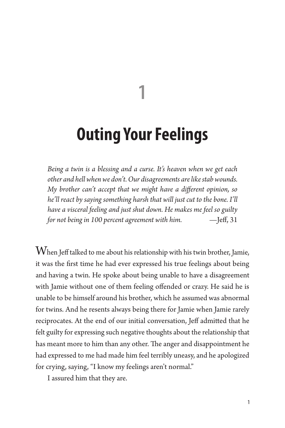# **Outing Your Feelings**

**1**

*Being a twin is a blessing and a curse. It's heaven when we get each other and hell when we don't. Our disagreements are like stab wounds. My brother can't accept that we might have a different opinion, so he'll react by saying something harsh that will just cut to the bone. I'll have a visceral feeling and just shut down. He makes me feel so guilty for not being in 100 percent agreement with him.* —Jeff, 31

 $\operatorname{W}$ hen Jeff talked to me about his relationship with his twin brother, Jamie, it was the first time he had ever expressed his true feelings about being and having a twin. He spoke about being unable to have a disagreement with Jamie without one of them feeling offended or crazy. He said he is unable to be himself around his brother, which he assumed was abnormal for twins. And he resents always being there for Jamie when Jamie rarely reciprocates. At the end of our initial conversation, Jeff admitted that he felt guilty for expressing such negative thoughts about the relationship that has meant more to him than any other. The anger and disappointment he had expressed to me had made him feel terribly uneasy, and he apologized for crying, saying, "I know my feelings aren't normal."

I assured him that they are.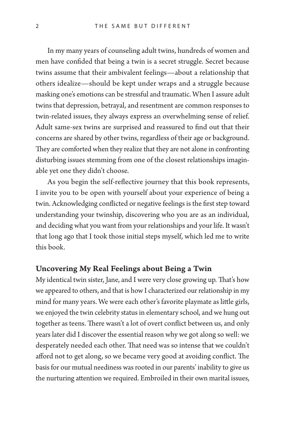In my many years of counseling adult twins, hundreds of women and men have confided that being a twin is a secret struggle. Secret because twins assume that their ambivalent feelings—about a relationship that others idealize—should be kept under wraps and a struggle because masking one's emotions can be stressful and traumatic. When I assure adult twins that depression, betrayal, and resentment are common responses to twin-related issues, they always express an overwhelming sense of relief. Adult same-sex twins are surprised and reassured to find out that their concerns are shared by other twins, regardless of their age or background. They are comforted when they realize that they are not alone in confronting disturbing issues stemming from one of the closest relationships imaginable yet one they didn't choose.

As you begin the self-reflective journey that this book represents, I invite you to be open with yourself about your experience of being a twin. Acknowledging conflicted or negative feelings is the first step toward understanding your twinship, discovering who you are as an individual, and deciding what you want from your relationships and your life. It wasn't that long ago that I took those initial steps myself, which led me to write this book.

### Uncovering My Real Feelings about Being a Twin

My identical twin sister, Jane, and I were very close growing up. That's how we appeared to others, and that is how I characterized our relationship in my mind for many years. We were each other's favorite playmate as little girls, we enjoyed the twin celebrity status in elementary school, and we hung out together as teens. There wasn't a lot of overt conflict between us, and only years later did I discover the essential reason why we got along so well: we desperately needed each other. That need was so intense that we couldn't afford not to get along, so we became very good at avoiding conflict. The basis for our mutual neediness was rooted in our parents' inability to give us the nurturing attention we required. Embroiled in their own marital issues,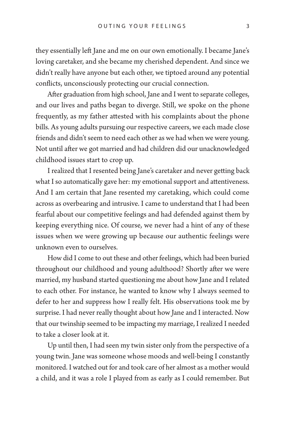they essentially left Jane and me on our own emotionally. I became Jane's loving caretaker, and she became my cherished dependent. And since we didn't really have anyone but each other, we tiptoed around any potential conflicts, unconsciously protecting our crucial connection.

After graduation from high school, Jane and I went to separate colleges, and our lives and paths began to diverge. Still, we spoke on the phone frequently, as my father attested with his complaints about the phone bills. As young adults pursuing our respective careers, we each made close friends and didn't seem to need each other as we had when we were young. Not until after we got married and had children did our unacknowledged childhood issues start to crop up.

I realized that I resented being Jane's caretaker and never getting back what I so automatically gave her: my emotional support and attentiveness. And I am certain that Jane resented my caretaking, which could come across as overbearing and intrusive. I came to understand that I had been fearful about our competitive feelings and had defended against them by keeping everything nice. Of course, we never had a hint of any of these issues when we were growing up because our authentic feelings were unknown even to ourselves.

How did I come to out these and other feelings, which had been buried throughout our childhood and young adulthood? Shortly after we were married, my husband started questioning me about how Jane and I related to each other. For instance, he wanted to know why I always seemed to defer to her and suppress how I really felt. His observations took me by surprise. I had never really thought about how Jane and I interacted. Now that our twinship seemed to be impacting my marriage, I realized I needed to take a closer look at it.

Up until then, I had seen my twin sister only from the perspective of a young twin. Jane was someone whose moods and well-being I constantly monitored. I watched out for and took care of her almost as a mother would a child, and it was a role I played from as early as I could remember. But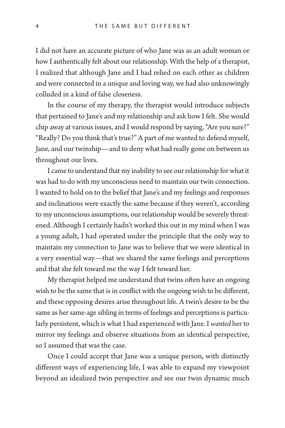I did not have an accurate picture of who Jane was as an adult woman or how I authentically felt about our relationship. With the help of a therapist, I realized that although Jane and I had relied on each other as children and were connected in a unique and loving way, we had also unknowingly colluded in a kind of false closeness.

In the course of my therapy, the therapist would introduce subjects that pertained to Jane's and my relationship and ask how I felt. She would chip away at various issues, and I would respond by saying, "Are you sure?" "Really? Do you think that's true?" A part of me wanted to defend myself, Jane, and our twinship—and to deny what had really gone on between us throughout our lives.

I came to understand that my inability to see our relationship for what it was had to do with my unconscious need to maintain our twin connection. I wanted to hold on to the belief that Jane's and my feelings and responses and inclinations were exactly the same because if they weren't, according to my unconscious assumptions, our relationship would be severely threatened. Although I certainly hadn't worked this out in my mind when I was a young adult, I had operated under the principle that the only way to maintain my connection to Jane was to believe that we were identical in a very essential way—that we shared the same feelings and perceptions and that she felt toward me the way I felt toward her.

My therapist helped me understand that twins often have an ongoing wish to be the same that is in conflict with the ongoing wish to be different, and these opposing desires arise throughout life. A twin's desire to be the same as her same-age sibling in terms of feelings and perceptions is particularly persistent, which is what I had experienced with Jane. I *wanted* her to mirror my feelings and observe situations from an identical perspective, so I assumed that was the case.

Once I could accept that Jane was a unique person, with distinctly different ways of experiencing life, I was able to expand my viewpoint beyond an idealized twin perspective and see our twin dynamic much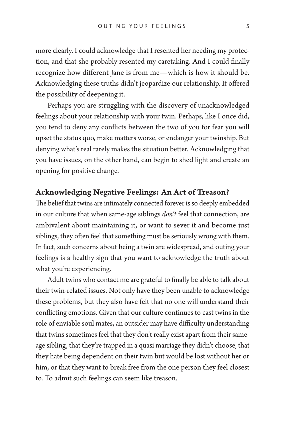more clearly. I could acknowledge that I resented her needing my protection, and that she probably resented my caretaking. And I could finally recognize how different Jane is from me—which is how it should be. Acknowledging these truths didn't jeopardize our relationship. It offered the possibility of deepening it.

Perhaps you are struggling with the discovery of unacknowledged feelings about your relationship with your twin. Perhaps, like I once did, you tend to deny any conflicts between the two of you for fear you will upset the status quo, make matters worse, or endanger your twinship. But denying what's real rarely makes the situation better. Acknowledging that you have issues, on the other hand, can begin to shed light and create an opening for positive change.

# Acknowledging Negative Feelings: An Act of Treason?

The belief that twins are intimately connected forever is so deeply embedded in our culture that when same-age siblings *don't* feel that connection, are ambivalent about maintaining it, or want to sever it and become just siblings, they often feel that something must be seriously wrong with them. In fact, such concerns about being a twin are widespread, and outing your feelings is a healthy sign that you want to acknowledge the truth about what you're experiencing.

Adult twins who contact me are grateful to finally be able to talk about their twin-related issues. Not only have they been unable to acknowledge these problems, but they also have felt that no one will understand their conflicting emotions. Given that our culture continues to cast twins in the role of enviable soul mates, an outsider may have difficulty understanding that twins sometimes feel that they don't really exist apart from their sameage sibling, that they're trapped in a quasi marriage they didn't choose, that they hate being dependent on their twin but would be lost without her or him, or that they want to break free from the one person they feel closest to. To admit such feelings can seem like treason.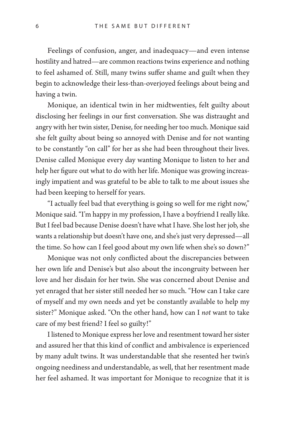Feelings of confusion, anger, and inadequacy—and even intense hostility and hatred—are common reactions twins experience and nothing to feel ashamed of. Still, many twins suffer shame and guilt when they begin to acknowledge their less-than-overjoyed feelings about being and having a twin.

Monique, an identical twin in her midtwenties, felt guilty about disclosing her feelings in our first conversation. She was distraught and angry with her twin sister, Denise, for needing her too much. Monique said she felt guilty about being so annoyed with Denise and for not wanting to be constantly "on call" for her as she had been throughout their lives. Denise called Monique every day wanting Monique to listen to her and help her figure out what to do with her life. Monique was growing increasingly impatient and was grateful to be able to talk to me about issues she had been keeping to herself for years.

"I actually feel bad that everything is going so well for me right now," Monique said. "I'm happy in my profession, I have a boyfriend I really like. But I feel bad because Denise doesn't have what I have. She lost her job, she wants a relationship but doesn't have one, and she's just very depressed—all the time. So how can I feel good about my own life when she's so down?"

Monique was not only conflicted about the discrepancies between her own life and Denise's but also about the incongruity between her love and her disdain for her twin. She was concerned about Denise and yet enraged that her sister still needed her so much. "How can I take care of myself and my own needs and yet be constantly available to help my sister?" Monique asked. "On the other hand, how can I *not* want to take care of my best friend? I feel so guilty!"

I listened to Monique express her love and resentment toward her sister and assured her that this kind of conflict and ambivalence is experienced by many adult twins. It was understandable that she resented her twin's ongoing neediness and understandable, as well, that her resentment made her feel ashamed. It was important for Monique to recognize that it is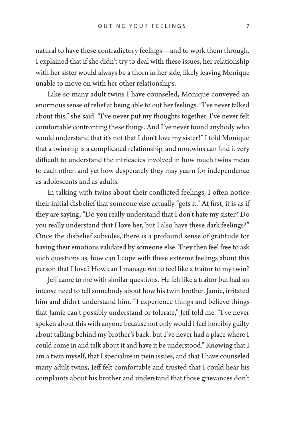natural to have these contradictory feelings—and to work them through. I explained that if she didn't try to deal with these issues, her relationship with her sister would always be a thorn in her side, likely leaving Monique unable to move on with her other relationships.

Like so many adult twins I have counseled, Monique conveyed an enormous sense of relief at being able to out her feelings. "I've never talked about this," she said. "I've never put my thoughts together. I've never felt comfortable confronting these things. And I've never found anybody who would understand that it's not that I don't love my sister!" I told Monique that a twinship is a complicated relationship, and nontwins can find it very difficult to understand the intricacies involved in how much twins mean to each other, and yet how desperately they may yearn for independence as adolescents and as adults.

In talking with twins about their conflicted feelings, I often notice their initial disbelief that someone else actually "gets it." At first, it is as if they are saying, "Do you really understand that I don't hate my sister? Do you really understand that I love her, but I also have these dark feelings?" Once the disbelief subsides, there is a profound sense of gratitude for having their emotions validated by someone else. They then feel free to ask such questions as, how can I cope with these extreme feelings about this person that I love? How can I manage *not* to feel like a traitor to my twin?

Jeff came to me with similar questions. He felt like a traitor but had an intense need to tell somebody about how his twin brother, Jamie, irritated him and didn't understand him. "I experience things and believe things that Jamie can't possibly understand or tolerate," Jeff told me. "I've never spoken about this with anyone because not only would I feel horribly guilty about talking behind my brother's back, but I've never had a place where I could come in and talk about it and have it be understood." Knowing that I am a twin myself, that I specialize in twin issues, and that I have counseled many adult twins, Jeff felt comfortable and trusted that I could hear his complaints about his brother and understand that those grievances don't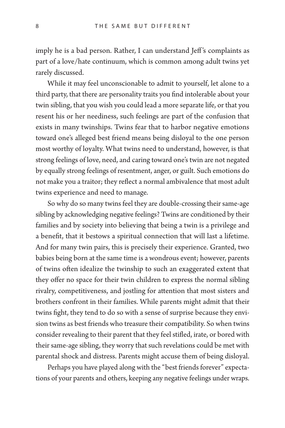imply he is a bad person. Rather, I can understand Jeff 's complaints as part of a love/hate continuum, which is common among adult twins yet rarely discussed.

While it may feel unconscionable to admit to yourself, let alone to a third party, that there are personality traits you find intolerable about your twin sibling, that you wish you could lead a more separate life, or that you resent his or her neediness, such feelings are part of the confusion that exists in many twinships. Twins fear that to harbor negative emotions toward one's alleged best friend means being disloyal to the one person most worthy of loyalty. What twins need to understand, however, is that strong feelings of love, need, and caring toward one's twin are not negated by equally strong feelings of resentment, anger, or guilt. Such emotions do not make you a traitor; they reflect a normal ambivalence that most adult twins experience and need to manage.

So why do so many twins feel they are double-crossing their same-age sibling by acknowledging negative feelings? Twins are conditioned by their families and by society into believing that being a twin is a privilege and a benefit, that it bestows a spiritual connection that will last a lifetime. And for many twin pairs, this is precisely their experience. Granted, two babies being born at the same time is a wondrous event; however, parents of twins often idealize the twinship to such an exaggerated extent that they offer no space for their twin children to express the normal sibling rivalry, competitiveness, and jostling for attention that most sisters and brothers confront in their families. While parents might admit that their twins fight, they tend to do so with a sense of surprise because they envision twins as best friends who treasure their compatibility. So when twins consider revealing to their parent that they feel stifled, irate, or bored with their same-age sibling, they worry that such revelations could be met with parental shock and distress. Parents might accuse them of being disloyal.

Perhaps you have played along with the "best friends forever" expectations of your parents and others, keeping any negative feelings under wraps.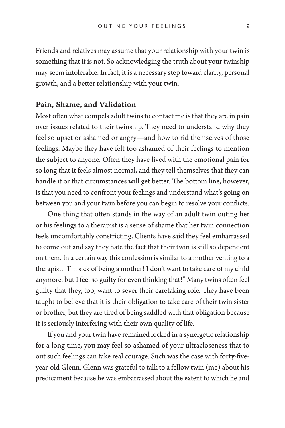Friends and relatives may assume that your relationship with your twin is something that it is not. So acknowledging the truth about your twinship may seem intolerable. In fact, it is a necessary step toward clarity, personal growth, and a better relationship with your twin.

#### Pain, Shame, and Validation

Most often what compels adult twins to contact me is that they are in pain over issues related to their twinship. They need to understand why they feel so upset or ashamed or angry—and how to rid themselves of those feelings. Maybe they have felt too ashamed of their feelings to mention the subject to anyone. Often they have lived with the emotional pain for so long that it feels almost normal, and they tell themselves that they can handle it or that circumstances will get better. The bottom line, however, is that you need to confront your feelings and understand what's going on between you and your twin before you can begin to resolve your conflicts.

One thing that often stands in the way of an adult twin outing her or his feelings to a therapist is a sense of shame that her twin connection feels uncomfortably constricting. Clients have said they feel embarrassed to come out and say they hate the fact that their twin is still so dependent on them. In a certain way this confession is similar to a mother venting to a therapist, "I'm sick of being a mother! I don't want to take care of my child anymore, but I feel so guilty for even thinking that!" Many twins often feel guilty that they, too, want to sever their caretaking role. They have been taught to believe that it is their obligation to take care of their twin sister or brother, but they are tired of being saddled with that obligation because it is seriously interfering with their own quality of life.

If you and your twin have remained locked in a synergetic relationship for a long time, you may feel so ashamed of your ultracloseness that to out such feelings can take real courage. Such was the case with forty-fiveyear-old Glenn. Glenn was grateful to talk to a fellow twin (me) about his predicament because he was embarrassed about the extent to which he and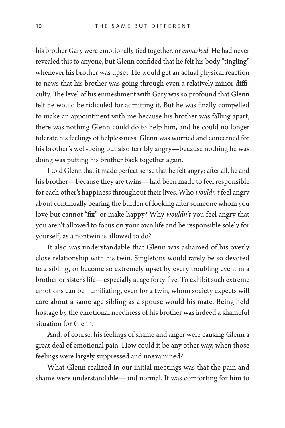his brother Gary were emotionally tied together, or *enmeshed*. He had never revealed this to anyone, but Glenn confided that he felt his body "tingling" whenever his brother was upset. He would get an actual physical reaction to news that his brother was going through even a relatively minor difficulty. The level of his enmeshment with Gary was so profound that Glenn felt he would be ridiculed for admitting it. But he was finally compelled to make an appointment with me because his brother was falling apart, there was nothing Glenn could do to help him, and he could no longer tolerate his feelings of helplessness. Glenn was worried and concerned for his brother's well-being but also terribly angry—because nothing he was doing was putting his brother back together again.

I told Glenn that it made perfect sense that he felt angry; after all, he and his brother—because they are twins—had been made to feel responsible for each other's happiness throughout their lives. Who *wouldn't* feel angry about continually bearing the burden of looking after someone whom you love but cannot "fix" or make happy? Why *wouldn't* you feel angry that you aren't allowed to focus on your own life and be responsible solely for yourself, as a nontwin is allowed to do?

It also was understandable that Glenn was ashamed of his overly close relationship with his twin. Singletons would rarely be so devoted to a sibling, or become so extremely upset by every troubling event in a brother or sister's life—especially at age forty-five. To exhibit such extreme emotions can be humiliating, even for a twin, whom society expects will care about a same-age sibling as a spouse would his mate. Being held hostage by the emotional neediness of his brother was indeed a shameful situation for Glenn.

And, of course, his feelings of shame and anger were causing Glenn a great deal of emotional pain. How could it be any other way, when those feelings were largely suppressed and unexamined?

What Glenn realized in our initial meetings was that the pain and shame were understandable—and normal. It was comforting for him to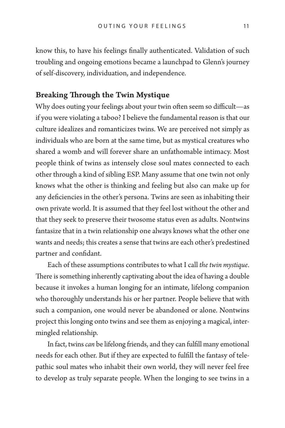know this, to have his feelings finally authenticated. Validation of such troubling and ongoing emotions became a launchpad to Glenn's journey of self-discovery, individuation, and independence.

# Breaking Through the Twin Mystique

Why does outing your feelings about your twin often seem so difficult—as if you were violating a taboo? I believe the fundamental reason is that our culture idealizes and romanticizes twins. We are perceived not simply as individuals who are born at the same time, but as mystical creatures who shared a womb and will forever share an unfathomable intimacy. Most people think of twins as intensely close soul mates connected to each other through a kind of sibling ESP. Many assume that one twin not only knows what the other is thinking and feeling but also can make up for any deficiencies in the other's persona. Twins are seen as inhabiting their own private world. It is assumed that they feel lost without the other and that they seek to preserve their twosome status even as adults. Nontwins fantasize that in a twin relationship one always knows what the other one wants and needs; this creates a sense that twins are each other's predestined partner and confidant.

Each of these assumptions contributes to what I call *the twin mystique*. There is something inherently captivating about the idea of having a double because it invokes a human longing for an intimate, lifelong companion who thoroughly understands his or her partner. People believe that with such a companion, one would never be abandoned or alone. Nontwins project this longing onto twins and see them as enjoying a magical, intermingled relationship.

In fact, twins *can* be lifelong friends, and they can fulfill many emotional needs for each other. But if they are expected to fulfill the fantasy of telepathic soul mates who inhabit their own world, they will never feel free to develop as truly separate people. When the longing to see twins in a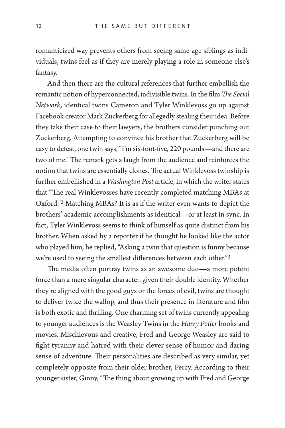romanticized way prevents others from seeing same-age siblings as individuals, twins feel as if they are merely playing a role in someone else's fantasy.

And then there are the cultural references that further embellish the romantic notion of hyperconnected, indivisible twins. In the film *The Social Network*, identical twins Cameron and Tyler Winklevoss go up against Facebook creator Mark Zuckerberg for allegedly stealing their idea. Before they take their case to their lawyers, the brothers consider punching out Zuckerberg. Attempting to convince his brother that Zuckerberg will be easy to defeat, one twin says, "I'm six-foot-five, 220 pounds—and there are two of me." The remark gets a laugh from the audience and reinforces the notion that twins are essentially clones. The actual Winklevoss twinship is further embellished in a *Washington Post* article, in which the writer states that "The real Winklevosses have recently completed matching MBAs at Oxford."2 Matching MBAs? It is as if the writer even wants to depict the brothers' academic accomplishments as identical—or at least in sync. In fact, Tyler Winklevoss seems to think of himself as quite distinct from his brother. When asked by a reporter if he thought he looked like the actor who played him, he replied, "Asking a twin that question is funny because we're used to seeing the smallest differences between each other."3

The media often portray twins as an awesome duo—a more potent force than a mere singular character, given their double identity. Whether they're aligned with the good guys or the forces of evil, twins are thought to deliver twice the wallop, and thus their presence in literature and film is both exotic and thrilling. One charming set of twins currently appealing to younger audiences is the Weasley Twins in the *Harry Potter* books and movies. Mischievous and creative, Fred and George Weasley are said to fight tyranny and hatred with their clever sense of humor and daring sense of adventure. Their personalities are described as very similar, yet completely opposite from their older brother, Percy. According to their younger sister, Ginny, "The thing about growing up with Fred and George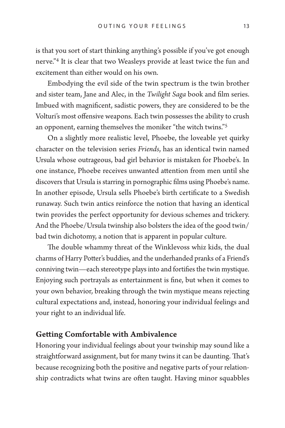is that you sort of start thinking anything's possible if you've got enough nerve."4 It is clear that two Weasleys provide at least twice the fun and excitement than either would on his own.

Embodying the evil side of the twin spectrum is the twin brother and sister team, Jane and Alec, in the *Twilight Saga* book and film series. Imbued with magnificent, sadistic powers, they are considered to be the Volturi's most offensive weapons. Each twin possesses the ability to crush an opponent, earning themselves the moniker "the witch twins."5

On a slightly more realistic level, Phoebe, the loveable yet quirky character on the television series *Friends*, has an identical twin named Ursula whose outrageous, bad girl behavior is mistaken for Phoebe's. In one instance, Phoebe receives unwanted attention from men until she discovers that Ursula is starring in pornographic films using Phoebe's name. In another episode, Ursula sells Phoebe's birth certificate to a Swedish runaway. Such twin antics reinforce the notion that having an identical twin provides the perfect opportunity for devious schemes and trickery. And the Phoebe/Ursula twinship also bolsters the idea of the good twin/ bad twin dichotomy, a notion that is apparent in popular culture.

The double whammy threat of the Winklevoss whiz kids, the dual charms of Harry Potter's buddies, and the underhanded pranks of a Friend's conniving twin—each stereotype plays into and fortifies the twin mystique. Enjoying such portrayals as entertainment is fine, but when it comes to your own behavior, breaking through the twin mystique means rejecting cultural expectations and, instead, honoring your individual feelings and your right to an individual life.

# Getting Comfortable with Ambivalence

Honoring your individual feelings about your twinship may sound like a straightforward assignment, but for many twins it can be daunting. That's because recognizing both the positive and negative parts of your relationship contradicts what twins are often taught. Having minor squabbles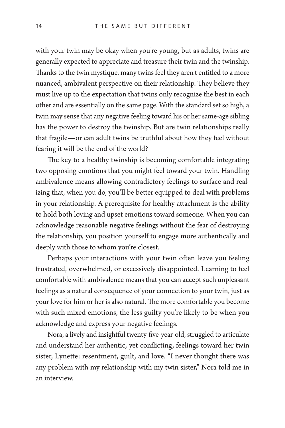with your twin may be okay when you're young, but as adults, twins are generally expected to appreciate and treasure their twin and the twinship. Thanks to the twin mystique, many twins feel they aren't entitled to a more nuanced, ambivalent perspective on their relationship. They believe they must live up to the expectation that twins only recognize the best in each other and are essentially on the same page. With the standard set so high, a twin may sense that any negative feeling toward his or her same-age sibling has the power to destroy the twinship. But are twin relationships really that fragile—or can adult twins be truthful about how they feel without fearing it will be the end of the world?

The key to a healthy twinship is becoming comfortable integrating two opposing emotions that you might feel toward your twin. Handling ambivalence means allowing contradictory feelings to surface and realizing that, when you do, you'll be better equipped to deal with problems in your relationship. A prerequisite for healthy attachment is the ability to hold both loving and upset emotions toward someone. When you can acknowledge reasonable negative feelings without the fear of destroying the relationship, you position yourself to engage more authentically and deeply with those to whom you're closest.

Perhaps your interactions with your twin often leave you feeling frustrated, overwhelmed, or excessively disappointed. Learning to feel comfortable with ambivalence means that you can accept such unpleasant feelings as a natural consequence of your connection to your twin, just as your love for him or her is also natural. The more comfortable you become with such mixed emotions, the less guilty you're likely to be when you acknowledge and express your negative feelings.

Nora, a lively and insightful twenty-five-year-old, struggled to articulate and understand her authentic, yet conflicting, feelings toward her twin sister, Lynette: resentment, guilt, and love. "I never thought there was any problem with my relationship with my twin sister," Nora told me in an interview.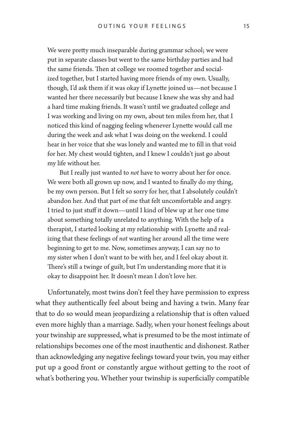We were pretty much inseparable during grammar school; we were put in separate classes but went to the same birthday parties and had the same friends. Then at college we roomed together and socialized together, but I started having more friends of my own. Usually, though, I'd ask them if it was okay if Lynette joined us—not because I wanted her there necessarily but because I knew she was shy and had a hard time making friends. It wasn't until we graduated college and I was working and living on my own, about ten miles from her, that I noticed this kind of nagging feeling whenever Lynette would call me during the week and ask what I was doing on the weekend. I could hear in her voice that she was lonely and wanted me to fill in that void for her. My chest would tighten, and I knew I couldn't just go about my life without her.

But I really just wanted to *not* have to worry about her for once. We were both all grown up now, and I wanted to finally do my thing, be my own person. But I felt so sorry for her, that I absolutely couldn't abandon her. And that part of me that felt uncomfortable and angry. I tried to just stuff it down—until I kind of blew up at her one time about something totally unrelated to anything. With the help of a therapist, I started looking at my relationship with Lynette and realizing that these feelings of *not* wanting her around all the time were beginning to get to me. Now, sometimes anyway, I can say no to my sister when I don't want to be with her, and I feel okay about it. There's still a twinge of guilt, but I'm understanding more that it is okay to disappoint her. It doesn't mean I don't love her.

Unfortunately, most twins don't feel they have permission to express what they authentically feel about being and having a twin. Many fear that to do so would mean jeopardizing a relationship that is often valued even more highly than a marriage. Sadly, when your honest feelings about your twinship are suppressed, what is presumed to be the most intimate of relationships becomes one of the most inauthentic and dishonest. Rather than acknowledging any negative feelings toward your twin, you may either put up a good front or constantly argue without getting to the root of what's bothering you. Whether your twinship is superficially compatible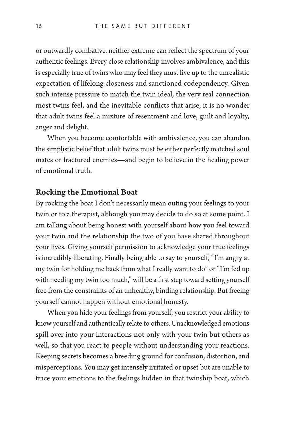or outwardly combative, neither extreme can reflect the spectrum of your authentic feelings. Every close relationship involves ambivalence, and this is especially true of twins who may feel they must live up to the unrealistic expectation of lifelong closeness and sanctioned codependency. Given such intense pressure to match the twin ideal, the very real connection most twins feel, and the inevitable conflicts that arise, it is no wonder that adult twins feel a mixture of resentment and love, guilt and loyalty, anger and delight.

When you become comfortable with ambivalence, you can abandon the simplistic belief that adult twins must be either perfectly matched soul mates or fractured enemies—and begin to believe in the healing power of emotional truth.

### Rocking the Emotional Boat

By rocking the boat I don't necessarily mean outing your feelings to your twin or to a therapist, although you may decide to do so at some point. I am talking about being honest with yourself about how you feel toward your twin and the relationship the two of you have shared throughout your lives. Giving yourself permission to acknowledge your true feelings is incredibly liberating. Finally being able to say to yourself, "I'm angry at my twin for holding me back from what I really want to do" or "I'm fed up with needing my twin too much," will be a first step toward setting yourself free from the constraints of an unhealthy, binding relationship. But freeing yourself cannot happen without emotional honesty.

When you hide your feelings from yourself, you restrict your ability to know yourself and authentically relate to others. Unacknowledged emotions spill over into your interactions not only with your twin but others as well, so that you react to people without understanding your reactions. Keeping secrets becomes a breeding ground for confusion, distortion, and misperceptions. You may get intensely irritated or upset but are unable to trace your emotions to the feelings hidden in that twinship boat, which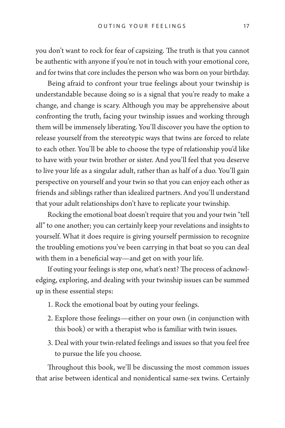you don't want to rock for fear of capsizing. The truth is that you cannot be authentic with anyone if you're not in touch with your emotional core, and for twins that core includes the person who was born on your birthday.

Being afraid to confront your true feelings about your twinship is understandable because doing so is a signal that you're ready to make a change, and change is scary. Although you may be apprehensive about confronting the truth, facing your twinship issues and working through them will be immensely liberating. You'll discover you have the option to release yourself from the stereotypic ways that twins are forced to relate to each other. You'll be able to choose the type of relationship you'd like to have with your twin brother or sister. And you'll feel that you deserve to live your life as a singular adult, rather than as half of a duo. You'll gain perspective on yourself and your twin so that you can enjoy each other as friends and siblings rather than idealized partners. And you'll understand that your adult relationships don't have to replicate your twinship.

Rocking the emotional boat doesn't require that you and your twin "tell all" to one another; you can certainly keep your revelations and insights to yourself. What it does require is giving yourself permission to recognize the troubling emotions you've been carrying in that boat so you can deal with them in a beneficial way—and get on with your life.

If outing your feelings is step one, what's next? The process of acknowledging, exploring, and dealing with your twinship issues can be summed up in these essential steps:

- 1. Rock the emotional boat by outing your feelings.
- 2. Explore those feelings—either on your own (in conjunction with this book) or with a therapist who is familiar with twin issues.
- 3. Deal with your twin-related feelings and issues so that you feel free to pursue the life you choose.

Throughout this book, we'll be discussing the most common issues that arise between identical and nonidentical same-sex twins. Certainly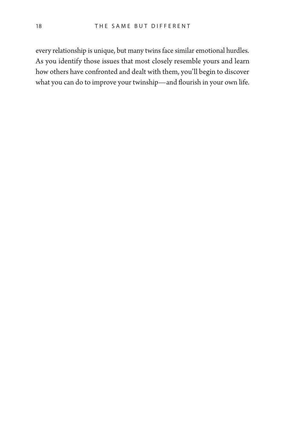every relationship is unique, but many twins face similar emotional hurdles. As you identify those issues that most closely resemble yours and learn how others have confronted and dealt with them, you'll begin to discover what you can do to improve your twinship—and flourish in your own life.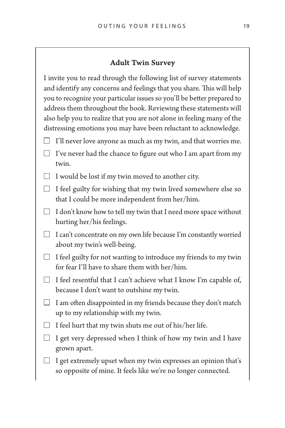#### Adult Twin Survey

I invite you to read through the following list of survey statements and identify any concerns and feelings that you share. This will help you to recognize your particular issues so you'll be better prepared to address them throughout the book. Reviewing these statements will also help you to realize that you are not alone in feeling many of the distressing emotions you may have been reluctant to acknowledge.

- $\Box$  I'll never love anyone as much as my twin, and that worries me.
- $\Box$  I've never had the chance to figure out who I am apart from my twin.
- $\Box$  I would be lost if my twin moved to another city.
- $\Box$  I feel guilty for wishing that my twin lived somewhere else so that I could be more independent from her/him.
- $\Box$  I don't know how to tell my twin that I need more space without hurting her/his feelings.
- $\Box$  I can't concentrate on my own life because I'm constantly worried about my twin's well-being.
- $\Box$  I feel guilty for not wanting to introduce my friends to my twin for fear I'll have to share them with her/him.
- $\Box$  I feel resentful that I can't achieve what I know I'm capable of, because I don't want to outshine my twin.
- $\Box$  I am often disappointed in my friends because they don't match up to my relationship with my twin.
- $\Box$  I feel hurt that my twin shuts me out of his/her life.
- $\Box$  I get very depressed when I think of how my twin and I have grown apart.
- I get extremely upset when my twin expresses an opinion that's so opposite of mine. It feels like we're no longer connected.